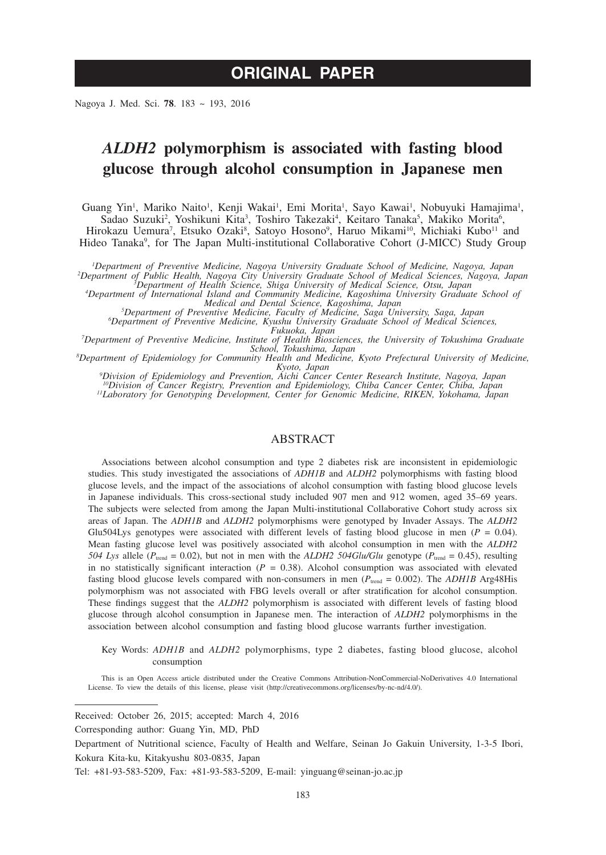# **ORIGINAL PAPER**

Nagoya J. Med. Sci. **78**. 183 ~ 193, 2016

## *ALDH2* **polymorphism is associated with fasting blood glucose through alcohol consumption in Japanese men**

Guang Yin<sup>1</sup>, Mariko Naito<sup>1</sup>, Kenji Wakai<sup>1</sup>, Emi Morita<sup>1</sup>, Sayo Kawai<sup>1</sup>, Nobuyuki Hamajima<sup>1</sup>, Sadao Suzuki<sup>2</sup>, Yoshikuni Kita<sup>3</sup>, Toshiro Takezaki<sup>4</sup>, Keitaro Tanaka<sup>5</sup>, Makiko Morita<sup>6</sup>, Hirokazu Uemura<sup>7</sup>, Etsuko Ozaki<sup>8</sup>, Satoyo Hosono<sup>9</sup>, Haruo Mikami<sup>10</sup>, Michiaki Kubo<sup>11</sup> and Hideo Tanaka<sup>9</sup>, for The Japan Multi-institutional Collaborative Cohort (J-MICC) Study Group

*1 Department of Preventive Medicine, Nagoya University Graduate School of Medicine, Nagoya, Japan <sup>2</sup> Department of Public Health, Nagoya City University Graduate School of Medical Sciences, Nagoya, Japan <sup>3</sup> Department of Health Science, Shiga University of Medical Science, Otsu, Japan <sup>4</sup>*

Department of International Island and Community Medicine, Kagoshima University Graduate School of<br>Medical and Dental Science, Kagoshima, Japan<br><sup>5</sup>Department of Preventive Medicine, Faculty of Medicine and Sciences<br>Penartm

*Department of Preventive Medicine, Kyushu University Graduate School of Medical Sciences,* 

*Fukuoka, Japan*<br><sup>*S*</sup>Department of Preventive Medicine, Institute of Health Biosciences, the University of Tokushima Graduate<sup>3</sup><br><sup>8</sup>Department of Fridemiology for Community Health and Medicine Kyoto Prefectural University

<sup>8</sup>Department of Epidemiology for Community Health and Medicine, Kyoto Prefectural University of Medicine, *Kyoto, Japan <sup>9</sup> Division of Epidemiology and Prevention, Aichi Cancer Center Research Institute, Nagoya, Japan*

*10Division of Cancer Registry, Prevention and Epidemiology, Chiba Cancer Center, Chiba, Japan 11Laboratory for Genotyping Development, Center for Genomic Medicine, RIKEN, Yokohama, Japan*

#### ABSTRACT

Associations between alcohol consumption and type 2 diabetes risk are inconsistent in epidemiologic studies. This study investigated the associations of *ADH1B* and *ALDH2* polymorphisms with fasting blood glucose levels, and the impact of the associations of alcohol consumption with fasting blood glucose levels in Japanese individuals. This cross-sectional study included 907 men and 912 women, aged 35–69 years. The subjects were selected from among the Japan Multi-institutional Collaborative Cohort study across six areas of Japan. The *ADH1B* and *ALDH2* polymorphisms were genotyped by Invader Assays. The *ALDH2* Glu504Lys genotypes were associated with different levels of fasting blood glucose in men  $(P = 0.04)$ . Mean fasting glucose level was positively associated with alcohol consumption in men with the *ALDH2 504 Lys* allele ( $P_{\text{trend}} = 0.02$ ), but not in men with the *ALDH2 504Glu/Glu* genotype ( $P_{\text{trend}} = 0.45$ ), resulting in no statistically significant interaction  $(P = 0.38)$ . Alcohol consumption was associated with elevated fasting blood glucose levels compared with non-consumers in men ( $P_{\text{trend}} = 0.002$ ). The *ADH1B* Arg48His polymorphism was not associated with FBG levels overall or after stratification for alcohol consumption. These findings suggest that the *ALDH2* polymorphism is associated with different levels of fasting blood glucose through alcohol consumption in Japanese men. The interaction of *ALDH2* polymorphisms in the association between alcohol consumption and fasting blood glucose warrants further investigation.

Key Words: *ADH1B* and *ALDH2* polymorphisms, type 2 diabetes, fasting blood glucose, alcohol consumption

This is an Open Access article distributed under the Creative Commons Attribution-NonCommercial-NoDerivatives 4.0 International License. To view the details of this license, please visit (http://creativecommons.org/licenses/by-nc-nd/4.0/).

Received: October 26, 2015; accepted: March 4, 2016

Corresponding author: Guang Yin, MD, PhD

Department of Nutritional science, Faculty of Health and Welfare, Seinan Jo Gakuin University, 1-3-5 Ibori, Kokura Kita-ku, Kitakyushu 803-0835, Japan

Tel: +81-93-583-5209, Fax: +81-93-583-5209, E-mail: yinguang@seinan-jo.ac.jp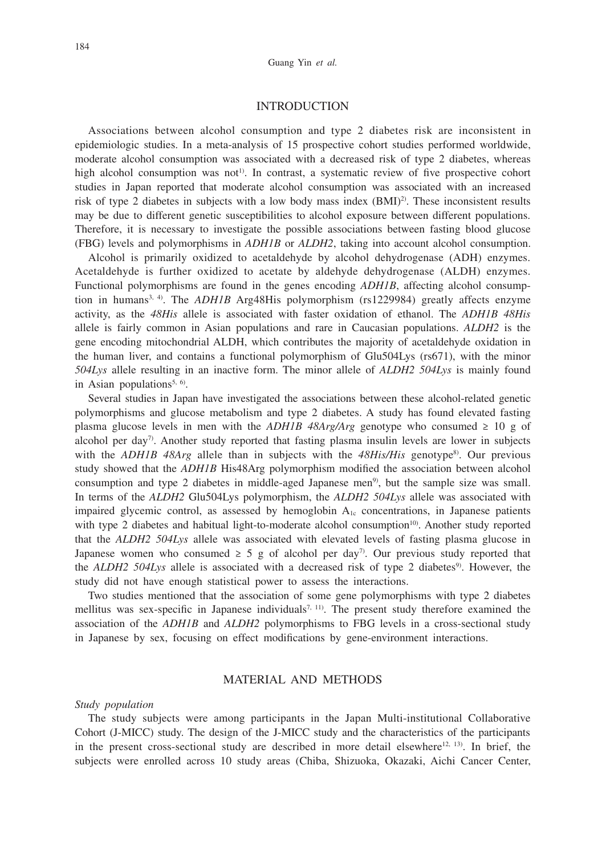### INTRODUCTION

Associations between alcohol consumption and type 2 diabetes risk are inconsistent in epidemiologic studies. In a meta-analysis of 15 prospective cohort studies performed worldwide, moderate alcohol consumption was associated with a decreased risk of type 2 diabetes, whereas high alcohol consumption was not<sup>1)</sup>. In contrast, a systematic review of five prospective cohort studies in Japan reported that moderate alcohol consumption was associated with an increased risk of type 2 diabetes in subjects with a low body mass index  $(BMI)^2$ . These inconsistent results may be due to different genetic susceptibilities to alcohol exposure between different populations. Therefore, it is necessary to investigate the possible associations between fasting blood glucose (FBG) levels and polymorphisms in *ADH1B* or *ALDH2*, taking into account alcohol consumption.

Alcohol is primarily oxidized to acetaldehyde by alcohol dehydrogenase (ADH) enzymes. Acetaldehyde is further oxidized to acetate by aldehyde dehydrogenase (ALDH) enzymes. Functional polymorphisms are found in the genes encoding *ADH1B*, affecting alcohol consumption in humans<sup>3, 4)</sup>. The *ADH1B* Arg48His polymorphism (rs1229984) greatly affects enzyme activity, as the *48His* allele is associated with faster oxidation of ethanol. The *ADH1B 48His* allele is fairly common in Asian populations and rare in Caucasian populations. *ALDH2* is the gene encoding mitochondrial ALDH, which contributes the majority of acetaldehyde oxidation in the human liver, and contains a functional polymorphism of Glu504Lys (rs671), with the minor *504Lys* allele resulting in an inactive form. The minor allele of *ALDH2 504Lys* is mainly found in Asian populations<sup>5, 6)</sup>.

Several studies in Japan have investigated the associations between these alcohol-related genetic polymorphisms and glucose metabolism and type 2 diabetes. A study has found elevated fasting plasma glucose levels in men with the *ADH1B 48Arg/Arg* genotype who consumed  $\geq 10$  g of alcohol per day<sup>7</sup>. Another study reported that fasting plasma insulin levels are lower in subjects with the *ADH1B 48Arg* allele than in subjects with the 48His/His genotype<sup>8</sup>). Our previous study showed that the *ADH1B* His48Arg polymorphism modified the association between alcohol consumption and type 2 diabetes in middle-aged Japanese men<sup>9</sup>, but the sample size was small. In terms of the *ALDH2* Glu504Lys polymorphism, the *ALDH2 504Lys* allele was associated with impaired glycemic control, as assessed by hemoglobin  $A_{1c}$  concentrations, in Japanese patients with type 2 diabetes and habitual light-to-moderate alcohol consumption<sup>10</sup>. Another study reported that the *ALDH2 504Lys* allele was associated with elevated levels of fasting plasma glucose in Japanese women who consumed  $\geq 5$  g of alcohol per day<sup>7</sup>. Our previous study reported that the *ALDH2 504Lys* allele is associated with a decreased risk of type 2 diabetes<sup>9</sup>. However, the study did not have enough statistical power to assess the interactions.

Two studies mentioned that the association of some gene polymorphisms with type 2 diabetes mellitus was sex-specific in Japanese individuals<sup>7, 11)</sup>. The present study therefore examined the association of the *ADH1B* and *ALDH2* polymorphisms to FBG levels in a cross-sectional study in Japanese by sex, focusing on effect modifications by gene-environment interactions.

### MATERIAL AND METHODS

#### *Study population*

The study subjects were among participants in the Japan Multi-institutional Collaborative Cohort (J-MICC) study. The design of the J-MICC study and the characteristics of the participants in the present cross-sectional study are described in more detail elsewhere<sup>12, 13</sup>). In brief, the subjects were enrolled across 10 study areas (Chiba, Shizuoka, Okazaki, Aichi Cancer Center,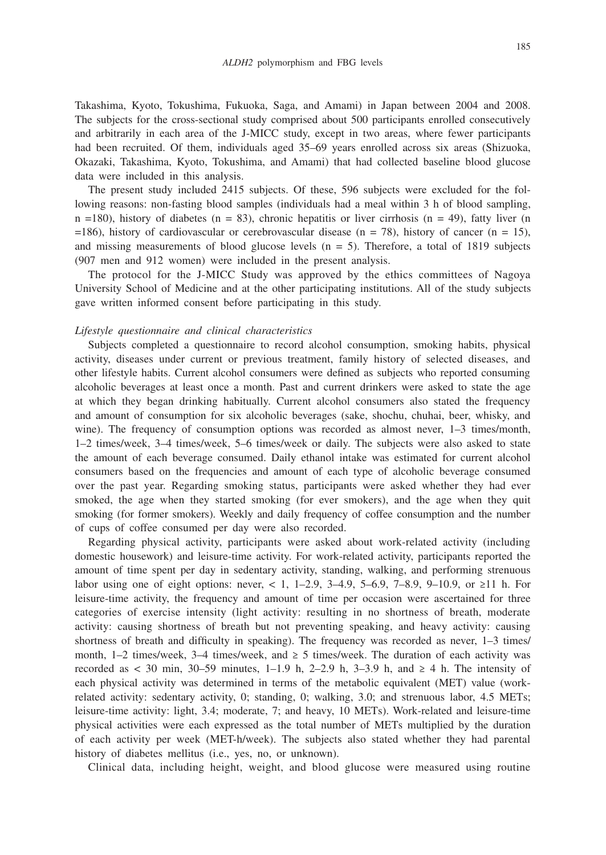Takashima, Kyoto, Tokushima, Fukuoka, Saga, and Amami) in Japan between 2004 and 2008. The subjects for the cross-sectional study comprised about 500 participants enrolled consecutively and arbitrarily in each area of the J-MICC study, except in two areas, where fewer participants had been recruited. Of them, individuals aged 35–69 years enrolled across six areas (Shizuoka, Okazaki, Takashima, Kyoto, Tokushima, and Amami) that had collected baseline blood glucose data were included in this analysis.

The present study included 2415 subjects. Of these, 596 subjects were excluded for the following reasons: non-fasting blood samples (individuals had a meal within 3 h of blood sampling,  $n = 180$ ), history of diabetes ( $n = 83$ ), chronic hepatitis or liver cirrhosis ( $n = 49$ ), fatty liver (n  $=186$ ), history of cardiovascular or cerebrovascular disease (n = 78), history of cancer (n = 15), and missing measurements of blood glucose levels  $(n = 5)$ . Therefore, a total of 1819 subjects (907 men and 912 women) were included in the present analysis.

The protocol for the J-MICC Study was approved by the ethics committees of Nagoya University School of Medicine and at the other participating institutions. All of the study subjects gave written informed consent before participating in this study.

#### *Lifestyle questionnaire and clinical characteristics*

Subjects completed a questionnaire to record alcohol consumption, smoking habits, physical activity, diseases under current or previous treatment, family history of selected diseases, and other lifestyle habits. Current alcohol consumers were defined as subjects who reported consuming alcoholic beverages at least once a month. Past and current drinkers were asked to state the age at which they began drinking habitually. Current alcohol consumers also stated the frequency and amount of consumption for six alcoholic beverages (sake, shochu, chuhai, beer, whisky, and wine). The frequency of consumption options was recorded as almost never, 1–3 times/month, 1–2 times/week, 3–4 times/week, 5–6 times/week or daily. The subjects were also asked to state the amount of each beverage consumed. Daily ethanol intake was estimated for current alcohol consumers based on the frequencies and amount of each type of alcoholic beverage consumed over the past year. Regarding smoking status, participants were asked whether they had ever smoked, the age when they started smoking (for ever smokers), and the age when they quit smoking (for former smokers). Weekly and daily frequency of coffee consumption and the number of cups of coffee consumed per day were also recorded.

Regarding physical activity, participants were asked about work-related activity (including domestic housework) and leisure-time activity. For work-related activity, participants reported the amount of time spent per day in sedentary activity, standing, walking, and performing strenuous labor using one of eight options: never, < 1, 1–2.9, 3–4.9, 5–6.9, 7–8.9, 9–10.9, or  $\geq 11$  h. For leisure-time activity, the frequency and amount of time per occasion were ascertained for three categories of exercise intensity (light activity: resulting in no shortness of breath, moderate activity: causing shortness of breath but not preventing speaking, and heavy activity: causing shortness of breath and difficulty in speaking). The frequency was recorded as never, 1–3 times/ month,  $1-2$  times/week,  $3-4$  times/week, and  $\geq 5$  times/week. The duration of each activity was recorded as < 30 min, 30–59 minutes, 1–1.9 h, 2–2.9 h, 3–3.9 h, and  $\geq$  4 h. The intensity of each physical activity was determined in terms of the metabolic equivalent (MET) value (workrelated activity: sedentary activity, 0; standing, 0; walking, 3.0; and strenuous labor, 4.5 METs; leisure-time activity: light, 3.4; moderate, 7; and heavy, 10 METs). Work-related and leisure-time physical activities were each expressed as the total number of METs multiplied by the duration of each activity per week (MET-h/week). The subjects also stated whether they had parental history of diabetes mellitus (i.e., yes, no, or unknown).

Clinical data, including height, weight, and blood glucose were measured using routine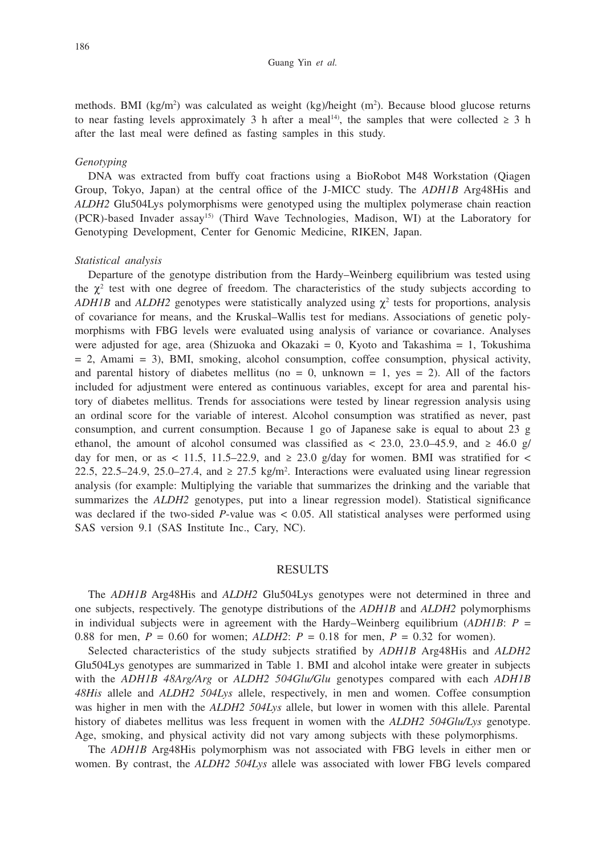#### Guang Yin *et al.*

methods. BMI  $(kg/m<sup>2</sup>)$  was calculated as weight  $(kg)/height$  (m<sup>2</sup>). Because blood glucose returns to near fasting levels approximately 3 h after a meal<sup>14</sup>), the samples that were collected  $\geq 3$  h after the last meal were defined as fasting samples in this study.

#### *Genotyping*

DNA was extracted from buffy coat fractions using a BioRobot M48 Workstation (Qiagen Group, Tokyo, Japan) at the central office of the J-MICC study. The *ADH1B* Arg48His and *ALDH2* Glu504Lys polymorphisms were genotyped using the multiplex polymerase chain reaction (PCR)-based Invader assay15) (Third Wave Technologies, Madison, WI) at the Laboratory for Genotyping Development, Center for Genomic Medicine, RIKEN, Japan.

## *Statistical analysis*

Departure of the genotype distribution from the Hardy–Weinberg equilibrium was tested using the  $\chi^2$  test with one degree of freedom. The characteristics of the study subjects according to *ADH1B* and *ALDH2* genotypes were statistically analyzed using  $\chi^2$  tests for proportions, analysis of covariance for means, and the Kruskal–Wallis test for medians. Associations of genetic polymorphisms with FBG levels were evaluated using analysis of variance or covariance. Analyses were adjusted for age, area (Shizuoka and Okazaki = 0, Kyoto and Takashima = 1, Tokushima  $= 2$ , Amami  $= 3$ ), BMI, smoking, alcohol consumption, coffee consumption, physical activity, and parental history of diabetes mellitus (no  $= 0$ , unknown  $= 1$ , yes  $= 2$ ). All of the factors included for adjustment were entered as continuous variables, except for area and parental history of diabetes mellitus. Trends for associations were tested by linear regression analysis using an ordinal score for the variable of interest. Alcohol consumption was stratified as never, past consumption, and current consumption. Because 1 go of Japanese sake is equal to about 23 g ethanol, the amount of alcohol consumed was classified as < 23.0, 23.0–45.9, and  $\geq 46.0$  g/ day for men, or as < 11.5, 11.5–22.9, and  $\geq$  23.0 g/day for women. BMI was stratified for < 22.5, 22.5–24.9, 25.0–27.4, and  $\geq 27.5$  kg/m<sup>2</sup>. Interactions were evaluated using linear regression analysis (for example: Multiplying the variable that summarizes the drinking and the variable that summarizes the *ALDH2* genotypes, put into a linear regression model). Statistical significance was declared if the two-sided *P*-value was < 0.05. All statistical analyses were performed using SAS version 9.1 (SAS Institute Inc., Cary, NC).

#### RESULTS

The *ADH1B* Arg48His and *ALDH2* Glu504Lys genotypes were not determined in three and one subjects, respectively. The genotype distributions of the *ADH1B* and *ALDH2* polymorphisms in individual subjects were in agreement with the Hardy–Weinberg equilibrium (*ADH1B*: *P* = 0.88 for men,  $P = 0.60$  for women;  $ALDH2$ :  $P = 0.18$  for men,  $P = 0.32$  for women).

Selected characteristics of the study subjects stratified by *ADH1B* Arg48His and *ALDH2* Glu504Lys genotypes are summarized in Table 1. BMI and alcohol intake were greater in subjects with the *ADH1B 48Arg/Arg* or *ALDH2 504Glu/Glu* genotypes compared with each *ADH1B 48His* allele and *ALDH2 504Lys* allele, respectively, in men and women. Coffee consumption was higher in men with the *ALDH2 504Lys* allele, but lower in women with this allele. Parental history of diabetes mellitus was less frequent in women with the *ALDH2 504Glu/Lys* genotype. Age, smoking, and physical activity did not vary among subjects with these polymorphisms.

The *ADH1B* Arg48His polymorphism was not associated with FBG levels in either men or women. By contrast, the *ALDH2 504Lys* allele was associated with lower FBG levels compared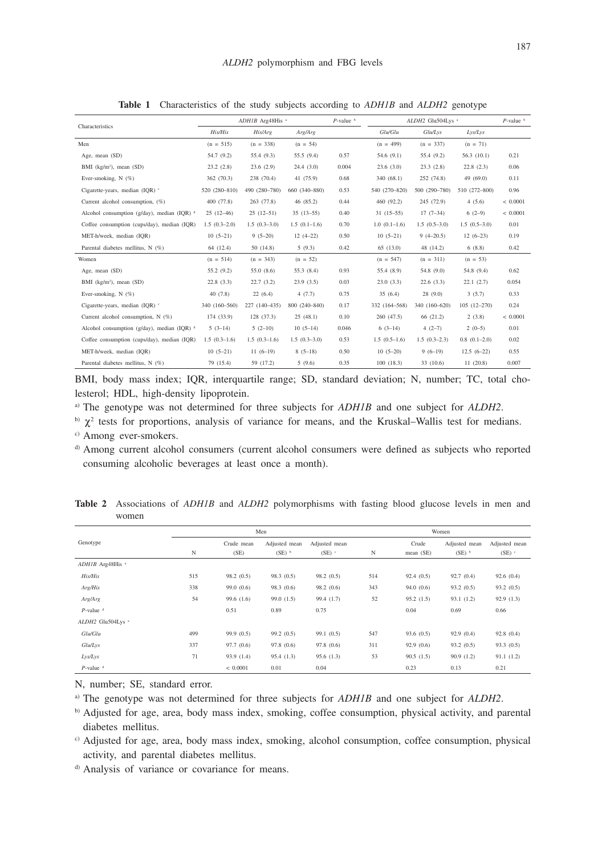|                                                   |                | $ADHIB$ Arg48His <sup>a</sup> |                | $P$ -value $\frac{b}{2}$ | ALDH2 Glu504Lys <sup>a</sup><br>$P$ -value $\frac{b}{2}$ |                |                 |              |  |
|---------------------------------------------------|----------------|-------------------------------|----------------|--------------------------|----------------------------------------------------------|----------------|-----------------|--------------|--|
| Characteristics                                   | His/His        | His/Arg                       | Arg/Arg        |                          | Glu/Glu                                                  | Glu/Lys        | Lys/Lys         |              |  |
| Men                                               | $(n = 515)$    | $(n = 338)$                   | $(n = 54)$     |                          | $(n = 499)$                                              | $(n = 337)$    | $(n = 71)$      |              |  |
| Age, mean (SD)                                    | 54.7 (9.2)     | 55.4 (9.3)                    | 55.5(9.4)      | 0.57                     | 54.6(9.1)                                                | 55.4 (9.2)     | 56.3(10.1)      | 0.21         |  |
| BMI $(kg/m2)$ , mean $(SD)$                       | 23.2(2.8)      | 23.6(2.9)                     | 24.4(3.0)      | 0.004                    | 23.6(3.0)                                                | 23.3(2.8)      | 22.8(2.3)       | 0.06         |  |
| Ever-smoking, $N$ (%)                             | 362 (70.3)     | 238 (70.4)                    | 41 (75.9)      | 0.68                     | 340 (68.1)                                               | 252 (74.8)     | 49(69.0)        | 0.11         |  |
| Cigarette-vears, median (IOR) °                   | 520 (280-810)  | 490 (280-780)                 | 660 (340-880)  | 0.53                     | 540 (270-820)                                            | 500 (290-780)  | 510 (272-800)   | 0.96         |  |
| Current alcohol consumption, (%)                  | 400 (77.8)     | 263 (77.8)                    | 46 (85.2)      | 0.44                     | 460 (92.2)                                               | 245 (72.9)     | 4(5.6)          | ${}< 0.0001$ |  |
| Alcohol consumption (g/day), median (IQR) $d$     | $25(12-46)$    | $25(12-51)$                   | $35(13-55)$    | 0.40                     | $31(15-55)$                                              | $17(7-34)$     | $6(2-9)$        | < 0.0001     |  |
| Coffee consumption (cups/day), median (IQR)       | $1.5(0.3-2.0)$ | $1.5(0.3-3.0)$                | $1.5(0.1-1.6)$ | 0.70                     | $1.0(0.1-1.6)$                                           |                | $1.5(0.5-3.0)$  | 0.01         |  |
| MET-h/week, median (IQR)                          | $10(5-21)$     | $9(5-20)$                     | $12(4-22)$     | 0.50                     | $10(5-21)$                                               | $9(4-20.5)$    | $12(6-23)$      | 0.19         |  |
| Parental diabetes mellitus, N (%)                 | 64 (12.4)      | 50(14.8)                      | 5(9.3)         | 0.42                     | 65(13.0)                                                 | 48 (14.2)      | 6(8.8)          | 0.42         |  |
| Women                                             | $(n = 514)$    | $(n = 343)$                   | $(n = 52)$     |                          | $(n = 547)$                                              | $(n = 311)$    | $(n = 53)$      |              |  |
| Age, mean (SD)                                    | 55.2(9.2)      | 55.0 (8.6)                    | 55.3 (8.4)     | 0.93                     | 55.4 (8.9)                                               | 54.8 (9.0)     | 54.8 (9.4)      | 0.62         |  |
| BMI (kg/m <sup>2</sup> ), mean (SD)               | 22.8(3.3)      | 22.7(3.2)                     | 23.9(3.5)      | 0.03                     | 23.0(3.3)                                                | 22.6(3.3)      | 22.1(2.7)       | 0.054        |  |
| Ever-smoking, $N$ (%)                             | 40(7.8)        | 22(6.4)                       | 4(7.7)         | 0.75                     | 35(6.4)                                                  | 28(9.0)        | 3(5.7)          | 0.33         |  |
| Cigarette-years, median (IQR) c                   | 340 (160-560)  | 227 (140-435)                 | 800 (240-840)  | 0.17                     | 332 (164-568)                                            | 340 (160-620)  | $105(12 - 270)$ | 0.24         |  |
| Current alcohol consumption, N (%)                | 174 (33.9)     | 128 (37.3)                    | 25(48.1)       | 0.10                     | 260(47.5)                                                | 66 (21.2)      | 2(3.8)          | ${}< 0.0001$ |  |
| Alcohol consumption ( $g$ /day), median (IQR) $d$ | $5(3-14)$      | $5(2-10)$                     | $10(5-14)$     | 0.046                    | $6(3-14)$                                                | $4(2-7)$       | $2(0-5)$        | 0.01         |  |
| Coffee consumption (cups/day), median (IQR)       | $1.5(0.3-1.6)$ | $1.5(0.3-1.6)$                | $1.5(0.3-3.0)$ | 0.53                     | $1.5(0.5-1.6)$                                           | $1.5(0.3-2.3)$ | $0.8(0.1-2.0)$  | 0.02         |  |
| MET-h/week, median (IQR)                          | $10(5-21)$     | $11(6-19)$                    | $8(5-18)$      | 0.50                     | $10(5-20)$                                               | $9(6-19)$      | $12.5(6-22)$    | 0.55         |  |
| Parental diabetes mellitus, N (%)                 | 79 (15.4)      | 59 (17.2)                     | 5(9.6)         | 0.35                     | 100(18.3)                                                | 33 (10.6)      | 11(20.8)        | 0.007        |  |

**Table 1** Characteristics of the study subjects according to *ADH1B* and *ALDH2* genotype

BMI, body mass index; IQR, interquartile range; SD, standard deviation; N, number; TC, total cholesterol; HDL, high-density lipoprotein.

a) The genotype was not determined for three subjects for *ADH1B* and one subject for *ALDH2*.

 $\delta$ <sup>b</sup>)  $\chi^2$  tests for proportions, analysis of variance for means, and the Kruskal–Wallis test for medians.

c) Among ever-smokers.

d) Among current alcohol consumers (current alcohol consumers were defined as subjects who reported consuming alcoholic beverages at least once a month).

|                               |     |              | Men           |               | Women |           |               |               |  |  |
|-------------------------------|-----|--------------|---------------|---------------|-------|-----------|---------------|---------------|--|--|
| Genotype                      |     | Crude mean   | Adjusted mean | Adjusted mean |       | Crude     | Adjusted mean | Adjusted mean |  |  |
|                               | N   | (SE)         | $(SE)$ b      | (SE)          | N     | mean (SE) | $(SE)$ b      | (SE)          |  |  |
| $ADHIB$ Arg48His <sup>a</sup> |     |              |               |               |       |           |               |               |  |  |
| His/His                       | 515 | 98.2(0.5)    | 98.3(0.5)     | 98.2(0.5)     | 514   | 92.4(0.5) | 92.7(0.4)     | 92.6(0.4)     |  |  |
| Arg/His                       | 338 | 99.0(0.6)    | 98.3(0.6)     | 98.2(0.6)     | 343   | 94.0(0.6) | 93.2(0.5)     | 93.2(0.5)     |  |  |
| Arg/Arg                       | 54  | 99.6(1.6)    | 99.0(1.5)     | 99.4 (1.7)    | 52    | 95.2(1.5) | 93.1(1.2)     | 92.9(1.3)     |  |  |
| $P$ -value $d$                |     | 0.51         | 0.89          | 0.75          |       | 0.04      | 0.69          | 0.66          |  |  |
| ALDH2 Glu504Lys <sup>a</sup>  |     |              |               |               |       |           |               |               |  |  |
| Glu/Glu                       | 499 | 99.9(0.5)    | 99.2(0.5)     | 99.1(0.5)     | 547   | 93.6(0.5) | 92.9(0.4)     | 92.8(0.4)     |  |  |
| Glu/Lys                       | 337 | 97.7(0.6)    | 97.8 (0.6)    | 97.8(0.6)     | 311   | 92.9(0.6) | 93.2(0.5)     | 93.3(0.5)     |  |  |
| Lys/Lys                       | 71  | 93.9(1.4)    | 95.4(1.3)     | 95.6(1.3)     | 53    | 90.5(1.5) | 90.9(1.2)     | 91.1(1.2)     |  |  |
| $P$ -value $d$                |     | ${}< 0.0001$ | 0.01          | 0.04          |       | 0.23      | 0.13          | 0.21          |  |  |

**Table 2** Associations of *ADH1B* and *ALDH2* polymorphisms with fasting blood glucose levels in men and women

N, number; SE, standard error.

a) The genotype was not determined for three subjects for *ADH1B* and one subject for *ALDH2*.

b) Adjusted for age, area, body mass index, smoking, coffee consumption, physical activity, and parental diabetes mellitus.

c) Adjusted for age, area, body mass index, smoking, alcohol consumption, coffee consumption, physical activity, and parental diabetes mellitus.

d) Analysis of variance or covariance for means.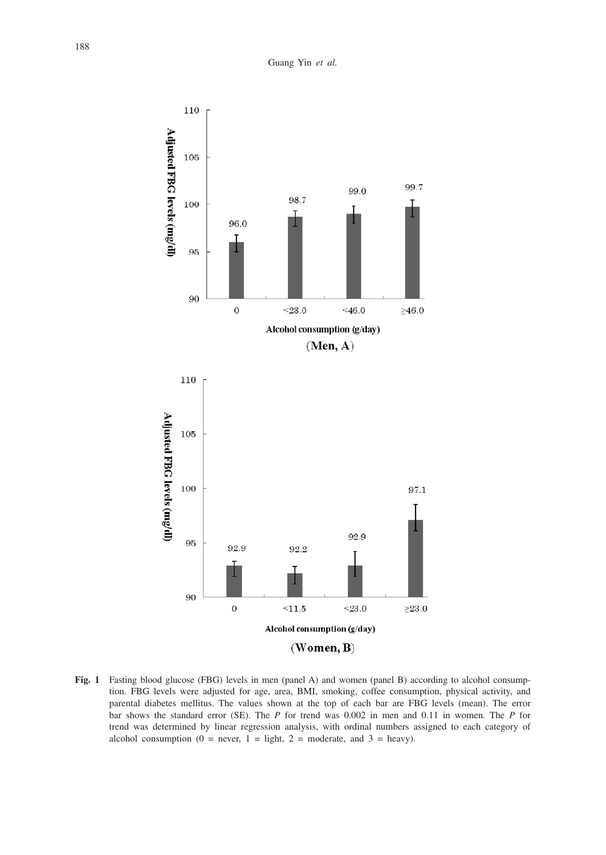Guang Yin *et al.*



**Fig. 1** Fasting blood glucose (FBG) levels in men (panel A) and women (panel B) according to alcohol consumption. FBG levels were adjusted for age, area, BMI, smoking, coffee consumption, physical activity, and parental diabetes mellitus. The values shown at the top of each bar are FBG levels (mean). The error bar shows the standard error (SE). The *P* for trend was 0.002 in men and 0.11 in women. The *P* for trend was determined by linear regression analysis, with ordinal numbers assigned to each category of alcohol consumption (0 = never, 1 = light, 2 = moderate, and 3 = heavy).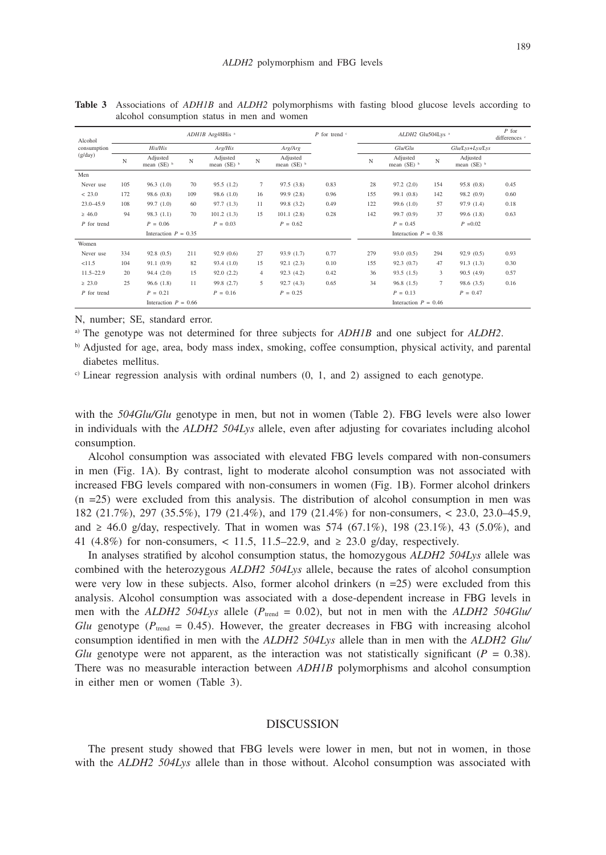| Alcohol       |                        | ADH1B Arg48His <sup>a</sup>          |     |                                      |        |                                      |                        |     | ALDH2 Glu504Lys <sup>a</sup>         |                |                                      |      |
|---------------|------------------------|--------------------------------------|-----|--------------------------------------|--------|--------------------------------------|------------------------|-----|--------------------------------------|----------------|--------------------------------------|------|
| consumption   |                        | His/His                              |     | Arg/His                              |        | Arg/Arg                              |                        |     | Glu/Glu                              |                | Glu/Lys+Lys/Lys                      |      |
| (g/day)       | N                      | Adjusted<br>mean $(SE)$ <sup>b</sup> | N   | Adjusted<br>mean $(SE)$ <sup>b</sup> | N      | Adjusted<br>mean $(SE)$ <sup>b</sup> |                        | N   | Adjusted<br>mean $(SE)$ <sup>b</sup> | N              | Adjusted<br>mean $(SE)$ <sup>b</sup> |      |
| Men           |                        |                                      |     |                                      |        |                                      |                        |     |                                      |                |                                      |      |
| Never use     | 105                    | 96.3(1.0)                            | 70  | 95.5(1.2)                            | $\tau$ | 97.5(3.8)                            | 0.83                   | 28  | 97.2(2.0)                            | 154            | 95.8(0.8)                            | 0.45 |
| < 23.0        | 172                    | 98.6 (0.8)                           | 109 | 98.6(1.0)                            | 16     | 99.9(2.8)                            | 0.96                   | 155 | 99.1(0.8)                            | 142            | 98.2 (0.9)                           | 0.60 |
| $23.0 - 45.9$ | 108                    | 99.7(1.0)                            | 60  | 97.7(1.3)                            | 11     | 99.8 (3.2)                           | 0.49                   | 122 | 99.6(1.0)                            | 57             | 97.9 (1.4)                           | 0.18 |
| $\geq 46.0$   | 94                     | 98.3(1.1)                            | 70  | 101.2(1.3)                           | 15     | 101.1(2.8)                           | 0.28                   | 142 | 99.7 (0.9)                           | 37             | 99.6 (1.8)                           | 0.63 |
| $P$ for trend |                        | $P = 0.06$                           |     | $P = 0.03$                           |        | $P = 0.62$                           |                        |     | $P = 0.45$                           |                | $P = 0.02$                           |      |
|               | Interaction $P = 0.35$ |                                      |     |                                      |        |                                      | Interaction $P = 0.38$ |     |                                      |                |                                      |      |
| Women         |                        |                                      |     |                                      |        |                                      |                        |     |                                      |                |                                      |      |
| Never use     | 334                    | 92.8(0.5)                            | 211 | 92.9(0.6)                            | 27     | 93.9(1.7)                            | 0.77                   | 279 | 93.0(0.5)                            | 294            | 92.9(0.5)                            | 0.93 |
| <11.5         | 104                    | 91.1(0.9)                            | 82  | 93.4(1.0)                            | 15     | 92.1(2.3)                            | 0.10                   | 155 | 92.3(0.7)                            | 47             | 91.3(1.3)                            | 0.30 |
| $11.5 - 22.9$ | 20                     | 94.4(2.0)                            | 15  | 92.0(2.2)                            | 4      | 92.3(4.2)                            | 0.42                   | 36  | 93.5(1.5)                            | 3              | 90.5(4.9)                            | 0.57 |
| $\geq 23.0$   | 25                     | 96.6(1.8)                            | 11  | 99.8 (2.7)                           | 5      | 92.7(4.3)                            | 0.65                   | 34  | 96.8(1.5)                            | $\overline{7}$ | 98.6 (3.5)                           | 0.16 |
| $P$ for trend |                        | $P = 0.21$                           |     | $P = 0.16$                           |        | $P = 0.25$                           |                        |     | $P = 0.13$                           |                | $P = 0.47$                           |      |
|               |                        | Interaction $P = 0.66$               |     |                                      |        |                                      |                        |     | Interaction $P = 0.46$               |                |                                      |      |

**Table 3** Associations of *ADH1B* and *ALDH2* polymorphisms with fasting blood glucose levels according to alcohol consumption status in men and women

N, number; SE, standard error.

a) The genotype was not determined for three subjects for *ADH1B* and one subject for *ALDH2*.

b) Adjusted for age, area, body mass index, smoking, coffee consumption, physical activity, and parental diabetes mellitus.

 $\degree$  Linear regression analysis with ordinal numbers (0, 1, and 2) assigned to each genotype.

with the *504Glu/Glu* genotype in men, but not in women (Table 2). FBG levels were also lower in individuals with the *ALDH2 504Lys* allele, even after adjusting for covariates including alcohol consumption.

Alcohol consumption was associated with elevated FBG levels compared with non-consumers in men (Fig. 1A). By contrast, light to moderate alcohol consumption was not associated with increased FBG levels compared with non-consumers in women (Fig. 1B). Former alcohol drinkers  $(n = 25)$  were excluded from this analysis. The distribution of alcohol consumption in men was 182 (21.7%), 297 (35.5%), 179 (21.4%), and 179 (21.4%) for non-consumers, < 23.0, 23.0–45.9, and  $\geq 46.0$  g/day, respectively. That in women was 574 (67.1%), 198 (23.1%), 43 (5.0%), and 41 (4.8%) for non-consumers,  $\langle 11.5, 11.5-22.9, 11.5-22.9, 11.5 \rangle$  g/day, respectively.

In analyses stratified by alcohol consumption status, the homozygous *ALDH2 504Lys* allele was combined with the heterozygous *ALDH2 504Lys* allele, because the rates of alcohol consumption were very low in these subjects. Also, former alcohol drinkers  $(n = 25)$  were excluded from this analysis. Alcohol consumption was associated with a dose-dependent increase in FBG levels in men with the *ALDH2 504Lys* allele ( $P_{\text{trend}} = 0.02$ ), but not in men with the *ALDH2 504Glu/ Glu* genotype ( $P_{\text{trend}} = 0.45$ ). However, the greater decreases in FBG with increasing alcohol consumption identified in men with the *ALDH2 504Lys* allele than in men with the *ALDH2 Glu/ Glu* genotype were not apparent, as the interaction was not statistically significant ( $P = 0.38$ ). There was no measurable interaction between *ADH1B* polymorphisms and alcohol consumption in either men or women (Table 3).

#### **DISCUSSION**

The present study showed that FBG levels were lower in men, but not in women, in those with the *ALDH2 504Lys* allele than in those without. Alcohol consumption was associated with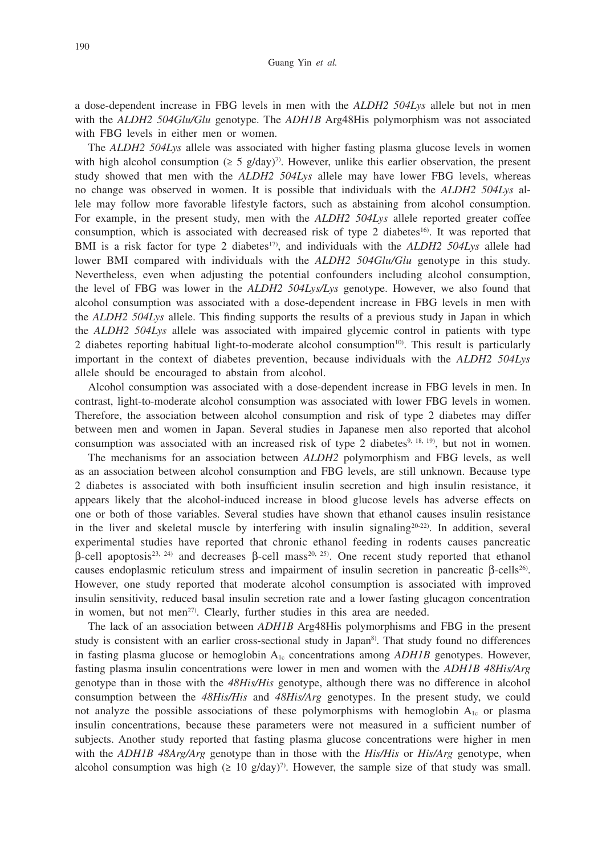a dose-dependent increase in FBG levels in men with the *ALDH2 504Lys* allele but not in men with the *ALDH2 504Glu/Glu* genotype. The *ADH1B* Arg48His polymorphism was not associated with FBG levels in either men or women.

The *ALDH2 504Lys* allele was associated with higher fasting plasma glucose levels in women with high alcohol consumption ( $\geq 5$  g/day)<sup>7</sup>. However, unlike this earlier observation, the present study showed that men with the *ALDH2 504Lys* allele may have lower FBG levels, whereas no change was observed in women. It is possible that individuals with the *ALDH2 504Lys* allele may follow more favorable lifestyle factors, such as abstaining from alcohol consumption. For example, in the present study, men with the *ALDH2 504Lys* allele reported greater coffee consumption, which is associated with decreased risk of type 2 diabetes<sup>16</sup>. It was reported that BMI is a risk factor for type 2 diabetes<sup>17</sup>, and individuals with the *ALDH2 504Lys* allele had lower BMI compared with individuals with the *ALDH2 504Glu/Glu* genotype in this study. Nevertheless, even when adjusting the potential confounders including alcohol consumption, the level of FBG was lower in the *ALDH2 504Lys/Lys* genotype. However, we also found that alcohol consumption was associated with a dose-dependent increase in FBG levels in men with the *ALDH2 504Lys* allele. This finding supports the results of a previous study in Japan in which the *ALDH2 504Lys* allele was associated with impaired glycemic control in patients with type 2 diabetes reporting habitual light-to-moderate alcohol consumption<sup>10</sup>. This result is particularly important in the context of diabetes prevention, because individuals with the *ALDH2 504Lys* allele should be encouraged to abstain from alcohol.

Alcohol consumption was associated with a dose-dependent increase in FBG levels in men. In contrast, light-to-moderate alcohol consumption was associated with lower FBG levels in women. Therefore, the association between alcohol consumption and risk of type 2 diabetes may differ between men and women in Japan. Several studies in Japanese men also reported that alcohol consumption was associated with an increased risk of type 2 diabetes<sup>9, 18, 19</sup>), but not in women.

The mechanisms for an association between *ALDH2* polymorphism and FBG levels, as well as an association between alcohol consumption and FBG levels, are still unknown. Because type 2 diabetes is associated with both insufficient insulin secretion and high insulin resistance, it appears likely that the alcohol-induced increase in blood glucose levels has adverse effects on one or both of those variables. Several studies have shown that ethanol causes insulin resistance in the liver and skeletal muscle by interfering with insulin signaling<sup>20-22)</sup>. In addition, several experimental studies have reported that chronic ethanol feeding in rodents causes pancreatic  $β$ -cell apoptosis<sup>23, 24)</sup> and decreases  $β$ -cell mass<sup>20, 25</sup>). One recent study reported that ethanol causes endoplasmic reticulum stress and impairment of insulin secretion in pancreatic β-cells26). However, one study reported that moderate alcohol consumption is associated with improved insulin sensitivity, reduced basal insulin secretion rate and a lower fasting glucagon concentration in women, but not men<sup>27)</sup>. Clearly, further studies in this area are needed.

The lack of an association between *ADH1B* Arg48His polymorphisms and FBG in the present study is consistent with an earlier cross-sectional study in Japan<sup>8)</sup>. That study found no differences in fasting plasma glucose or hemoglobin A<sub>1c</sub> concentrations among *ADH1B* genotypes. However, fasting plasma insulin concentrations were lower in men and women with the *ADH1B 48His/Arg* genotype than in those with the *48His/His* genotype, although there was no difference in alcohol consumption between the *48His/His* and *48His/Arg* genotypes. In the present study, we could not analyze the possible associations of these polymorphisms with hemoglobin A1c or plasma insulin concentrations, because these parameters were not measured in a sufficient number of subjects. Another study reported that fasting plasma glucose concentrations were higher in men with the *ADH1B 48Arg/Arg* genotype than in those with the *His/His* or *His/Arg* genotype, when alcohol consumption was high  $(≥ 10 g/day)<sup>7</sup>$ . However, the sample size of that study was small.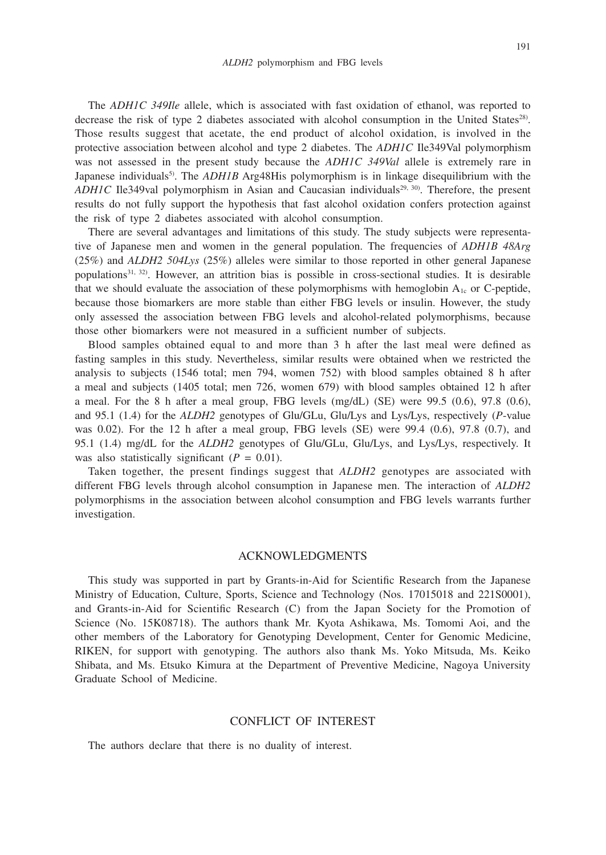The *ADH1C 349Ile* allele, which is associated with fast oxidation of ethanol, was reported to decrease the risk of type 2 diabetes associated with alcohol consumption in the United States<sup>28)</sup>. Those results suggest that acetate, the end product of alcohol oxidation, is involved in the protective association between alcohol and type 2 diabetes. The *ADH1C* Ile349Val polymorphism was not assessed in the present study because the *ADH1C 349Val* allele is extremely rare in Japanese individuals<sup>5</sup>. The *ADH1B* Arg48His polymorphism is in linkage disequilibrium with the *ADH1C* Ile349val polymorphism in Asian and Caucasian individuals<sup>29, 30</sup>. Therefore, the present results do not fully support the hypothesis that fast alcohol oxidation confers protection against the risk of type 2 diabetes associated with alcohol consumption.

There are several advantages and limitations of this study. The study subjects were representative of Japanese men and women in the general population. The frequencies of *ADH1B 48Arg* (25%) and *ALDH2 504Lys* (25%) alleles were similar to those reported in other general Japanese populations<sup>31, 32</sup>. However, an attrition bias is possible in cross-sectional studies. It is desirable that we should evaluate the association of these polymorphisms with hemoglobin  $A_{1c}$  or C-peptide, because those biomarkers are more stable than either FBG levels or insulin. However, the study only assessed the association between FBG levels and alcohol-related polymorphisms, because those other biomarkers were not measured in a sufficient number of subjects.

Blood samples obtained equal to and more than 3 h after the last meal were defined as fasting samples in this study. Nevertheless, similar results were obtained when we restricted the analysis to subjects (1546 total; men 794, women 752) with blood samples obtained 8 h after a meal and subjects (1405 total; men 726, women 679) with blood samples obtained 12 h after a meal. For the 8 h after a meal group, FBG levels  $(mg/dL)$  (SE) were 99.5 (0.6), 97.8 (0.6), and 95.1 (1.4) for the *ALDH2* genotypes of Glu/GLu, Glu/Lys and Lys/Lys, respectively (*P*-value was  $0.02$ ). For the 12 h after a meal group, FBG levels (SE) were  $99.4$   $(0.6)$ ,  $97.8$   $(0.7)$ , and 95.1 (1.4) mg/dL for the *ALDH2* genotypes of Glu/GLu, Glu/Lys, and Lys/Lys, respectively. It was also statistically significant  $(P = 0.01)$ .

Taken together, the present findings suggest that *ALDH2* genotypes are associated with different FBG levels through alcohol consumption in Japanese men. The interaction of *ALDH2* polymorphisms in the association between alcohol consumption and FBG levels warrants further investigation.

### ACKNOWLEDGMENTS

This study was supported in part by Grants-in-Aid for Scientific Research from the Japanese Ministry of Education, Culture, Sports, Science and Technology (Nos. 17015018 and 221S0001), and Grants-in-Aid for Scientific Research (C) from the Japan Society for the Promotion of Science (No. 15K08718). The authors thank Mr. Kyota Ashikawa, Ms. Tomomi Aoi, and the other members of the Laboratory for Genotyping Development, Center for Genomic Medicine, RIKEN, for support with genotyping. The authors also thank Ms. Yoko Mitsuda, Ms. Keiko Shibata, and Ms. Etsuko Kimura at the Department of Preventive Medicine, Nagoya University Graduate School of Medicine.

#### CONFLICT OF INTEREST

The authors declare that there is no duality of interest.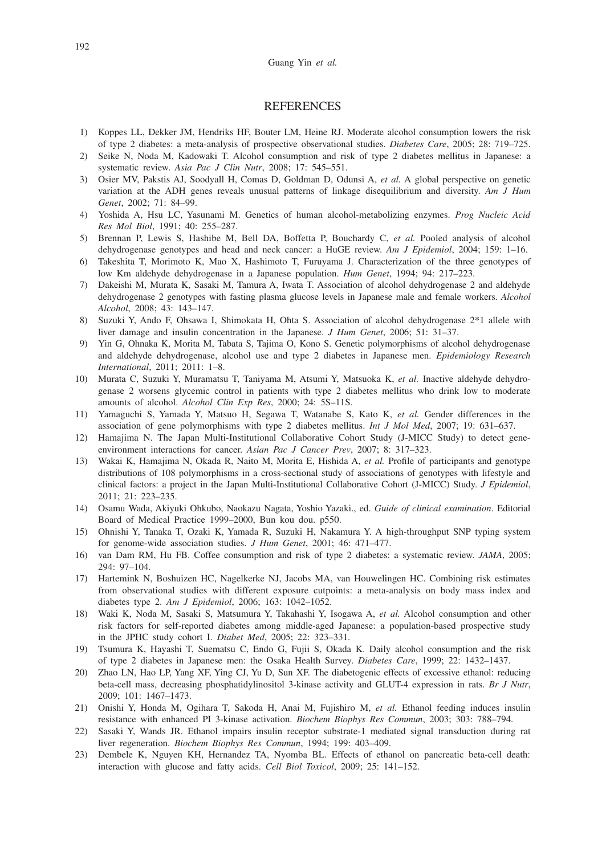### **REFERENCES**

- 1) Koppes LL, Dekker JM, Hendriks HF, Bouter LM, Heine RJ. Moderate alcohol consumption lowers the risk of type 2 diabetes: a meta-analysis of prospective observational studies. *Diabetes Care*, 2005; 28: 719–725.
- 2) Seike N, Noda M, Kadowaki T. Alcohol consumption and risk of type 2 diabetes mellitus in Japanese: a systematic review. *Asia Pac J Clin Nutr*, 2008; 17: 545–551.
- 3) Osier MV, Pakstis AJ, Soodyall H, Comas D, Goldman D, Odunsi A, *et al.* A global perspective on genetic variation at the ADH genes reveals unusual patterns of linkage disequilibrium and diversity. *Am J Hum Genet*, 2002; 71: 84–99.
- 4) Yoshida A, Hsu LC, Yasunami M. Genetics of human alcohol-metabolizing enzymes. *Prog Nucleic Acid Res Mol Biol*, 1991; 40: 255–287.
- 5) Brennan P, Lewis S, Hashibe M, Bell DA, Boffetta P, Bouchardy C, *et al.* Pooled analysis of alcohol dehydrogenase genotypes and head and neck cancer: a HuGE review. *Am J Epidemiol*, 2004; 159: 1–16.
- 6) Takeshita T, Morimoto K, Mao X, Hashimoto T, Furuyama J. Characterization of the three genotypes of low Km aldehyde dehydrogenase in a Japanese population. *Hum Genet*, 1994; 94: 217–223.
- 7) Dakeishi M, Murata K, Sasaki M, Tamura A, Iwata T. Association of alcohol dehydrogenase 2 and aldehyde dehydrogenase 2 genotypes with fasting plasma glucose levels in Japanese male and female workers. *Alcohol Alcohol*, 2008; 43: 143–147.
- 8) Suzuki Y, Ando F, Ohsawa I, Shimokata H, Ohta S. Association of alcohol dehydrogenase 2\*1 allele with liver damage and insulin concentration in the Japanese. *J Hum Genet*, 2006; 51: 31–37.
- 9) Yin G, Ohnaka K, Morita M, Tabata S, Tajima O, Kono S. Genetic polymorphisms of alcohol dehydrogenase and aldehyde dehydrogenase, alcohol use and type 2 diabetes in Japanese men. *Epidemiology Research International*, 2011; 2011: 1–8.
- 10) Murata C, Suzuki Y, Muramatsu T, Taniyama M, Atsumi Y, Matsuoka K, *et al.* Inactive aldehyde dehydrogenase 2 worsens glycemic control in patients with type 2 diabetes mellitus who drink low to moderate amounts of alcohol. *Alcohol Clin Exp Res*, 2000; 24: 5S–11S.
- 11) Yamaguchi S, Yamada Y, Matsuo H, Segawa T, Watanabe S, Kato K, *et al.* Gender differences in the association of gene polymorphisms with type 2 diabetes mellitus. *Int J Mol Med*, 2007; 19: 631–637.
- 12) Hamajima N. The Japan Multi-Institutional Collaborative Cohort Study (J-MICC Study) to detect geneenvironment interactions for cancer. *Asian Pac J Cancer Prev*, 2007; 8: 317–323.
- 13) Wakai K, Hamajima N, Okada R, Naito M, Morita E, Hishida A, *et al.* Profile of participants and genotype distributions of 108 polymorphisms in a cross-sectional study of associations of genotypes with lifestyle and clinical factors: a project in the Japan Multi-Institutional Collaborative Cohort (J-MICC) Study. *J Epidemiol*, 2011; 21: 223–235.
- 14) Osamu Wada, Akiyuki Ohkubo, Naokazu Nagata, Yoshio Yazaki., ed. *Guide of clinical examination*. Editorial Board of Medical Practice 1999–2000, Bun kou dou. p550.
- 15) Ohnishi Y, Tanaka T, Ozaki K, Yamada R, Suzuki H, Nakamura Y. A high-throughput SNP typing system for genome-wide association studies. *J Hum Genet*, 2001; 46: 471–477.
- 16) van Dam RM, Hu FB. Coffee consumption and risk of type 2 diabetes: a systematic review. *JAMA*, 2005; 294: 97–104.
- 17) Hartemink N, Boshuizen HC, Nagelkerke NJ, Jacobs MA, van Houwelingen HC. Combining risk estimates from observational studies with different exposure cutpoints: a meta-analysis on body mass index and diabetes type 2. *Am J Epidemiol*, 2006; 163: 1042–1052.
- 18) Waki K, Noda M, Sasaki S, Matsumura Y, Takahashi Y, Isogawa A, *et al.* Alcohol consumption and other risk factors for self-reported diabetes among middle-aged Japanese: a population-based prospective study in the JPHC study cohort I. *Diabet Med*, 2005; 22: 323–331.
- 19) Tsumura K, Hayashi T, Suematsu C, Endo G, Fujii S, Okada K. Daily alcohol consumption and the risk of type 2 diabetes in Japanese men: the Osaka Health Survey. *Diabetes Care*, 1999; 22: 1432–1437.
- 20) Zhao LN, Hao LP, Yang XF, Ying CJ, Yu D, Sun XF. The diabetogenic effects of excessive ethanol: reducing beta-cell mass, decreasing phosphatidylinositol 3-kinase activity and GLUT-4 expression in rats. *Br J Nutr*, 2009; 101: 1467–1473.
- 21) Onishi Y, Honda M, Ogihara T, Sakoda H, Anai M, Fujishiro M, *et al.* Ethanol feeding induces insulin resistance with enhanced PI 3-kinase activation. *Biochem Biophys Res Commun*, 2003; 303: 788–794.
- 22) Sasaki Y, Wands JR. Ethanol impairs insulin receptor substrate-1 mediated signal transduction during rat liver regeneration. *Biochem Biophys Res Commun*, 1994; 199: 403–409.
- 23) Dembele K, Nguyen KH, Hernandez TA, Nyomba BL. Effects of ethanol on pancreatic beta-cell death: interaction with glucose and fatty acids. *Cell Biol Toxicol*, 2009; 25: 141–152.